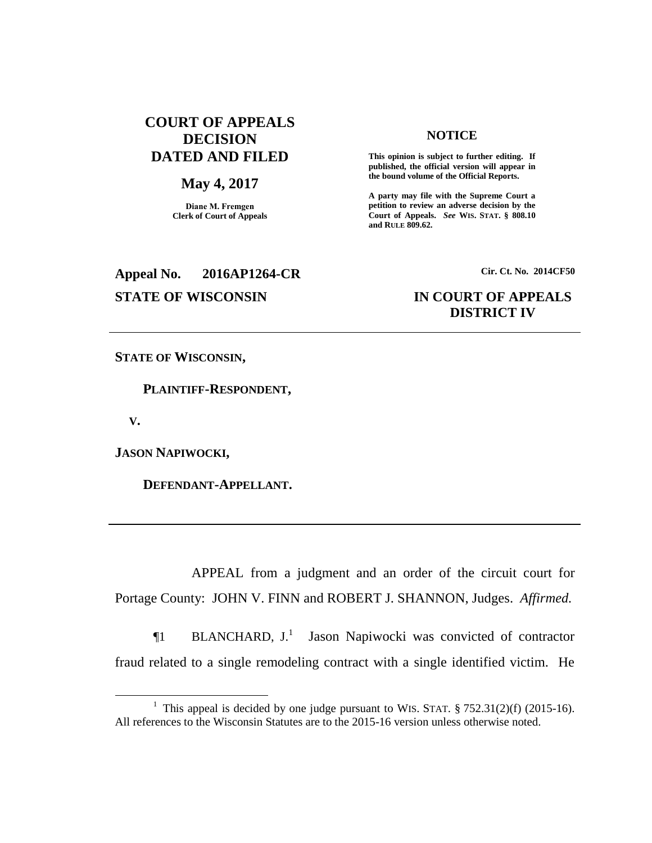## **COURT OF APPEALS DECISION DATED AND FILED**

## **May 4, 2017**

**Diane M. Fremgen Clerk of Court of Appeals**

### **published, the official version will appear in the bound volume of the Official Reports.**

**A party may file with the Supreme Court a petition to review an adverse decision by the Court of Appeals.** *See* **WIS. STAT. § 808.10 and RULE 809.62.** 

**NOTICE This opinion is subject to further editing. If** 

# **Appeal No. 2016AP1264-CR Cir. Ct. No. 2014CF50**

## **STATE OF WISCONSIN IN COURT OF APPEALS DISTRICT IV**

**STATE OF WISCONSIN,**

 **PLAINTIFF-RESPONDENT,**

 **V.**

 $\overline{a}$ 

**JASON NAPIWOCKI,**

 **DEFENDANT-APPELLANT.**

APPEAL from a judgment and an order of the circuit court for Portage County: JOHN V. FINN and ROBERT J. SHANNON, Judges. *Affirmed.*

 $\P1$  BLANCHARD,  $J<sup>1</sup>$  Jason Napiwocki was convicted of contractor fraud related to a single remodeling contract with a single identified victim. He

<sup>&</sup>lt;sup>1</sup> This appeal is decided by one judge pursuant to WIS. STAT.  $\S 752.31(2)(f)$  (2015-16). All references to the Wisconsin Statutes are to the 2015-16 version unless otherwise noted.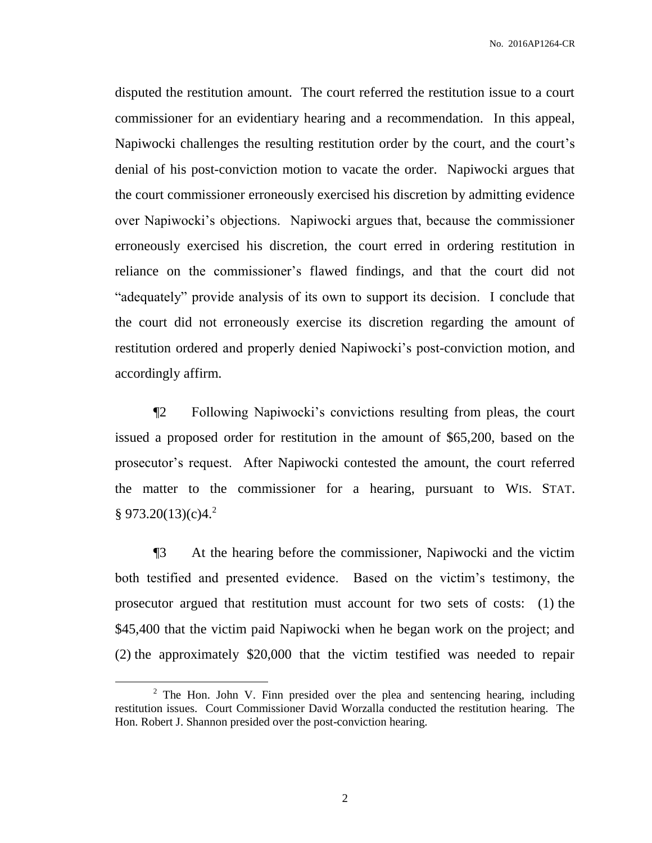disputed the restitution amount. The court referred the restitution issue to a court commissioner for an evidentiary hearing and a recommendation. In this appeal, Napiwocki challenges the resulting restitution order by the court, and the court's denial of his post-conviction motion to vacate the order. Napiwocki argues that the court commissioner erroneously exercised his discretion by admitting evidence over Napiwocki's objections. Napiwocki argues that, because the commissioner erroneously exercised his discretion, the court erred in ordering restitution in reliance on the commissioner's flawed findings, and that the court did not "adequately" provide analysis of its own to support its decision. I conclude that the court did not erroneously exercise its discretion regarding the amount of restitution ordered and properly denied Napiwocki's post-conviction motion, and accordingly affirm.

¶2 Following Napiwocki's convictions resulting from pleas, the court issued a proposed order for restitution in the amount of \$65,200, based on the prosecutor's request. After Napiwocki contested the amount, the court referred the matter to the commissioner for a hearing, pursuant to WIS. STAT.  $§ 973.20(13)(c)4.<sup>2</sup>$ 

¶3 At the hearing before the commissioner, Napiwocki and the victim both testified and presented evidence. Based on the victim's testimony, the prosecutor argued that restitution must account for two sets of costs: (1) the \$45,400 that the victim paid Napiwocki when he began work on the project; and (2) the approximately \$20,000 that the victim testified was needed to repair

 $\overline{a}$ 

 $2$  The Hon. John V. Finn presided over the plea and sentencing hearing, including restitution issues. Court Commissioner David Worzalla conducted the restitution hearing. The Hon. Robert J. Shannon presided over the post-conviction hearing.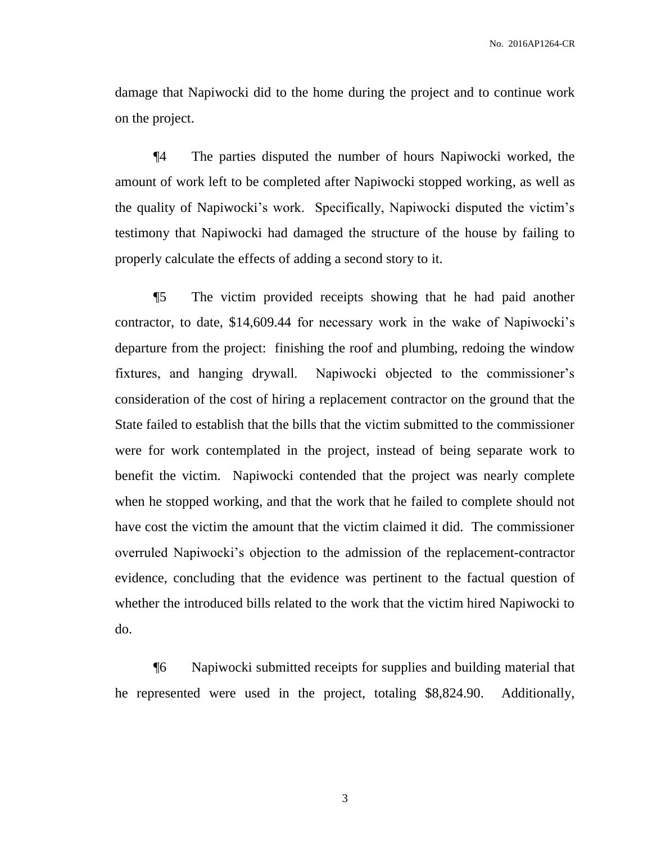damage that Napiwocki did to the home during the project and to continue work on the project.

¶4 The parties disputed the number of hours Napiwocki worked, the amount of work left to be completed after Napiwocki stopped working, as well as the quality of Napiwocki's work. Specifically, Napiwocki disputed the victim's testimony that Napiwocki had damaged the structure of the house by failing to properly calculate the effects of adding a second story to it.

¶5 The victim provided receipts showing that he had paid another contractor, to date, \$14,609.44 for necessary work in the wake of Napiwocki's departure from the project: finishing the roof and plumbing, redoing the window fixtures, and hanging drywall. Napiwocki objected to the commissioner's consideration of the cost of hiring a replacement contractor on the ground that the State failed to establish that the bills that the victim submitted to the commissioner were for work contemplated in the project, instead of being separate work to benefit the victim. Napiwocki contended that the project was nearly complete when he stopped working, and that the work that he failed to complete should not have cost the victim the amount that the victim claimed it did. The commissioner overruled Napiwocki's objection to the admission of the replacement-contractor evidence, concluding that the evidence was pertinent to the factual question of whether the introduced bills related to the work that the victim hired Napiwocki to do.

¶6 Napiwocki submitted receipts for supplies and building material that he represented were used in the project, totaling \$8,824.90. Additionally,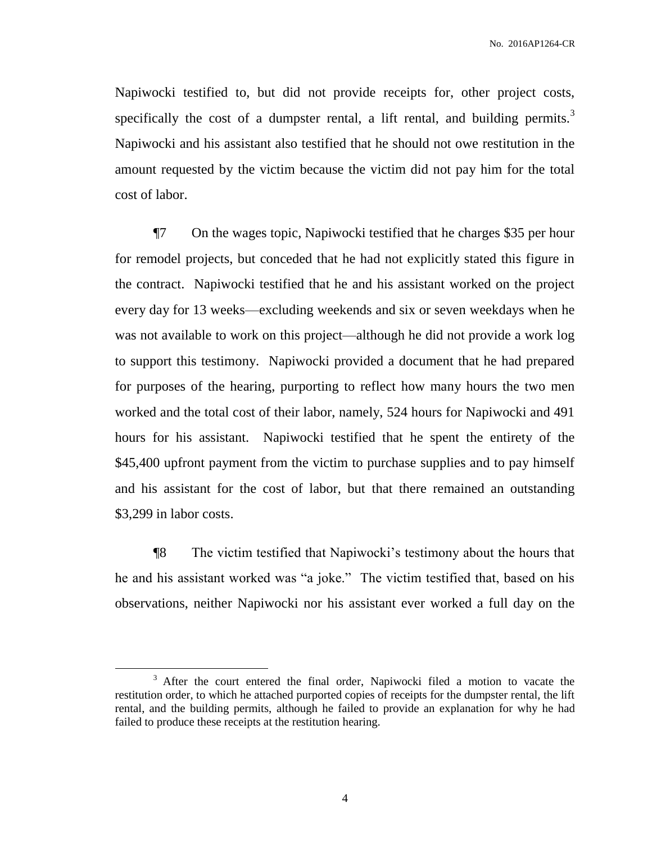Napiwocki testified to, but did not provide receipts for, other project costs, specifically the cost of a dumpster rental, a lift rental, and building permits.<sup>3</sup> Napiwocki and his assistant also testified that he should not owe restitution in the amount requested by the victim because the victim did not pay him for the total cost of labor.

¶7 On the wages topic, Napiwocki testified that he charges \$35 per hour for remodel projects, but conceded that he had not explicitly stated this figure in the contract. Napiwocki testified that he and his assistant worked on the project every day for 13 weeks—excluding weekends and six or seven weekdays when he was not available to work on this project—although he did not provide a work log to support this testimony. Napiwocki provided a document that he had prepared for purposes of the hearing, purporting to reflect how many hours the two men worked and the total cost of their labor, namely, 524 hours for Napiwocki and 491 hours for his assistant. Napiwocki testified that he spent the entirety of the \$45,400 upfront payment from the victim to purchase supplies and to pay himself and his assistant for the cost of labor, but that there remained an outstanding \$3,299 in labor costs.

¶8 The victim testified that Napiwocki's testimony about the hours that he and his assistant worked was "a joke." The victim testified that, based on his observations, neither Napiwocki nor his assistant ever worked a full day on the

 $\overline{a}$ 

<sup>&</sup>lt;sup>3</sup> After the court entered the final order, Napiwocki filed a motion to vacate the restitution order, to which he attached purported copies of receipts for the dumpster rental, the lift rental, and the building permits, although he failed to provide an explanation for why he had failed to produce these receipts at the restitution hearing.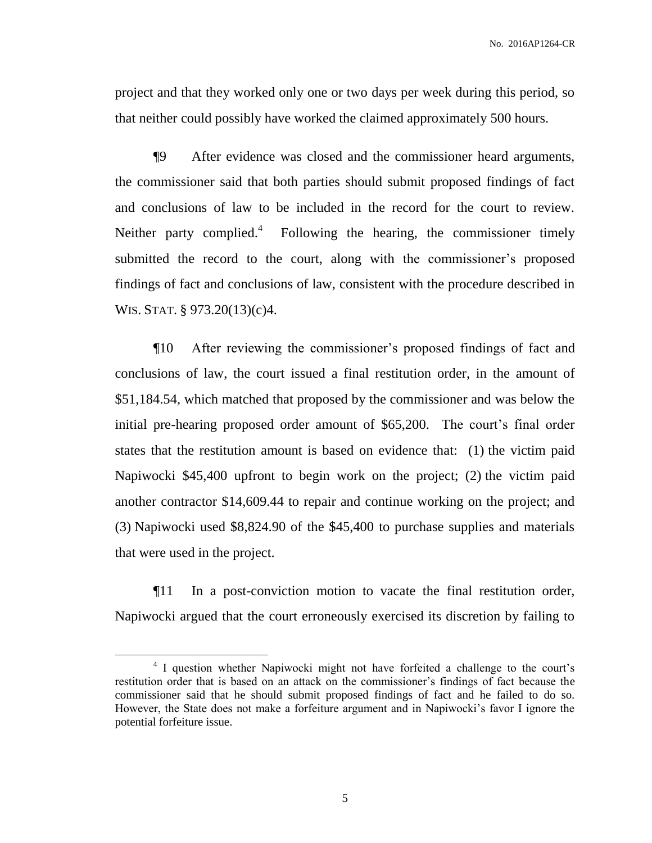project and that they worked only one or two days per week during this period, so that neither could possibly have worked the claimed approximately 500 hours.

¶9 After evidence was closed and the commissioner heard arguments, the commissioner said that both parties should submit proposed findings of fact and conclusions of law to be included in the record for the court to review. Neither party complied. $\mu$  Following the hearing, the commissioner timely submitted the record to the court, along with the commissioner's proposed findings of fact and conclusions of law, consistent with the procedure described in WIS. STAT. § 973.20(13)(c)4.

¶10 After reviewing the commissioner's proposed findings of fact and conclusions of law, the court issued a final restitution order, in the amount of \$51,184.54, which matched that proposed by the commissioner and was below the initial pre-hearing proposed order amount of \$65,200. The court's final order states that the restitution amount is based on evidence that: (1) the victim paid Napiwocki \$45,400 upfront to begin work on the project; (2) the victim paid another contractor \$14,609.44 to repair and continue working on the project; and (3) Napiwocki used \$8,824.90 of the \$45,400 to purchase supplies and materials that were used in the project.

¶11 In a post-conviction motion to vacate the final restitution order, Napiwocki argued that the court erroneously exercised its discretion by failing to

 $\overline{a}$ 

<sup>&</sup>lt;sup>4</sup> I question whether Napiwocki might not have forfeited a challenge to the court's restitution order that is based on an attack on the commissioner's findings of fact because the commissioner said that he should submit proposed findings of fact and he failed to do so. However, the State does not make a forfeiture argument and in Napiwocki's favor I ignore the potential forfeiture issue.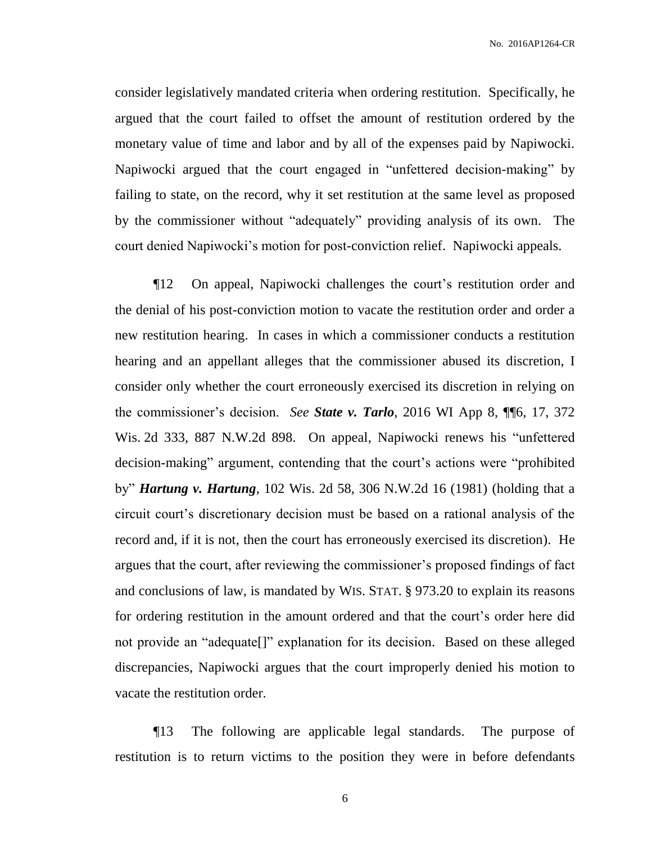consider legislatively mandated criteria when ordering restitution. Specifically, he argued that the court failed to offset the amount of restitution ordered by the monetary value of time and labor and by all of the expenses paid by Napiwocki. Napiwocki argued that the court engaged in "unfettered decision-making" by failing to state, on the record, why it set restitution at the same level as proposed by the commissioner without "adequately" providing analysis of its own. The court denied Napiwocki's motion for post-conviction relief. Napiwocki appeals.

¶12 On appeal, Napiwocki challenges the court's restitution order and the denial of his post-conviction motion to vacate the restitution order and order a new restitution hearing. In cases in which a commissioner conducts a restitution hearing and an appellant alleges that the commissioner abused its discretion, I consider only whether the court erroneously exercised its discretion in relying on the commissioner's decision. *See State v. Tarlo*, 2016 WI App 8, ¶¶6, 17, 372 Wis. 2d 333, 887 N.W.2d 898. On appeal, Napiwocki renews his "unfettered decision-making" argument, contending that the court's actions were "prohibited by" *Hartung v. Hartung*, 102 Wis. 2d 58, 306 N.W.2d 16 (1981) (holding that a circuit court's discretionary decision must be based on a rational analysis of the record and, if it is not, then the court has erroneously exercised its discretion). He argues that the court, after reviewing the commissioner's proposed findings of fact and conclusions of law, is mandated by WIS. STAT. § 973.20 to explain its reasons for ordering restitution in the amount ordered and that the court's order here did not provide an "adequate[]" explanation for its decision. Based on these alleged discrepancies, Napiwocki argues that the court improperly denied his motion to vacate the restitution order.

¶13 The following are applicable legal standards. The purpose of restitution is to return victims to the position they were in before defendants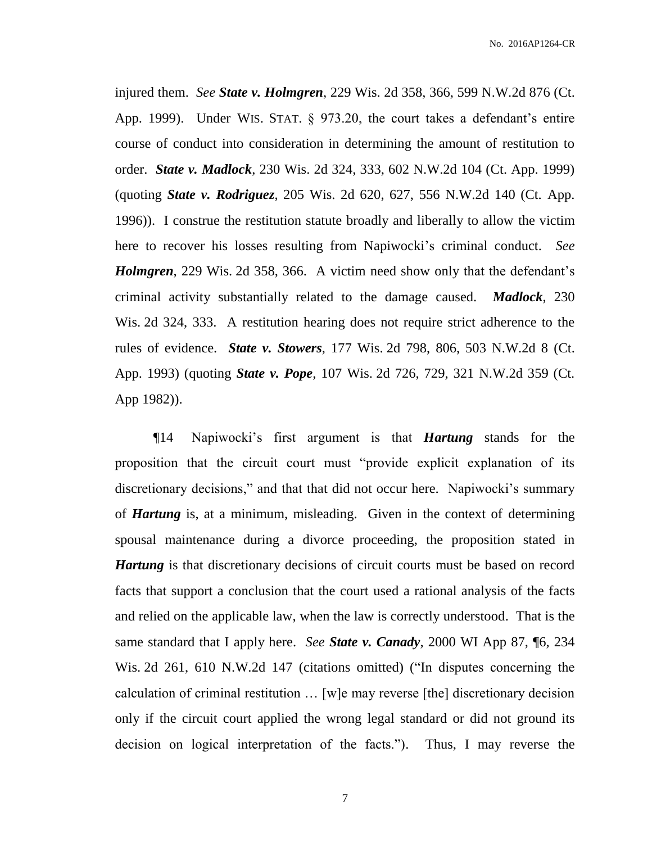injured them. *See State v. Holmgren*, 229 Wis. 2d 358, 366, 599 N.W.2d 876 (Ct. App. 1999). Under WIS. STAT. § 973.20, the court takes a defendant's entire course of conduct into consideration in determining the amount of restitution to order. *State v. Madlock*, 230 Wis. 2d 324, 333, 602 N.W.2d 104 (Ct. App. 1999) (quoting *State v. Rodriguez*, 205 Wis. 2d 620, 627, 556 N.W.2d 140 (Ct. App. 1996)). I construe the restitution statute broadly and liberally to allow the victim here to recover his losses resulting from Napiwocki's criminal conduct. *See Holmgren*, 229 Wis. 2d 358, 366. A victim need show only that the defendant's criminal activity substantially related to the damage caused. *Madlock*, 230 Wis. 2d 324, 333. A restitution hearing does not require strict adherence to the rules of evidence. *State v. Stowers*, 177 Wis. 2d 798, 806, 503 N.W.2d 8 (Ct. App. 1993) (quoting *State v. Pope*, 107 Wis. 2d 726, 729, 321 N.W.2d 359 (Ct. App 1982)).

¶14 Napiwocki's first argument is that *Hartung* stands for the proposition that the circuit court must "provide explicit explanation of its discretionary decisions," and that that did not occur here. Napiwocki's summary of *Hartung* is, at a minimum, misleading. Given in the context of determining spousal maintenance during a divorce proceeding, the proposition stated in *Hartung* is that discretionary decisions of circuit courts must be based on record facts that support a conclusion that the court used a rational analysis of the facts and relied on the applicable law, when the law is correctly understood. That is the same standard that I apply here. *See State v. Canady*, 2000 WI App 87, ¶6, 234 Wis. 2d 261, 610 N.W.2d 147 (citations omitted) ("In disputes concerning the calculation of criminal restitution … [w]e may reverse [the] discretionary decision only if the circuit court applied the wrong legal standard or did not ground its decision on logical interpretation of the facts."). Thus, I may reverse the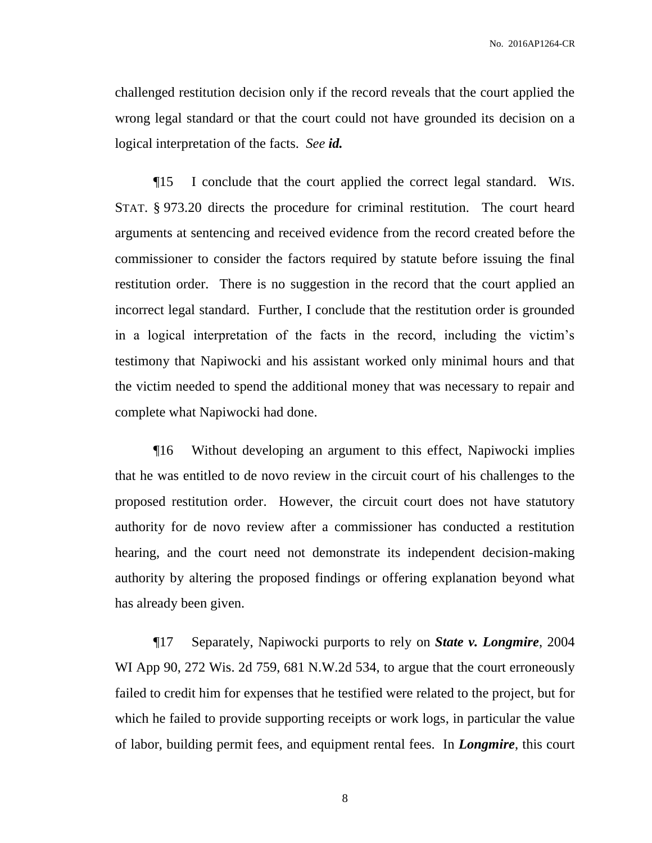challenged restitution decision only if the record reveals that the court applied the wrong legal standard or that the court could not have grounded its decision on a logical interpretation of the facts. *See id.*

¶15 I conclude that the court applied the correct legal standard. WIS. STAT. § 973.20 directs the procedure for criminal restitution. The court heard arguments at sentencing and received evidence from the record created before the commissioner to consider the factors required by statute before issuing the final restitution order. There is no suggestion in the record that the court applied an incorrect legal standard. Further, I conclude that the restitution order is grounded in a logical interpretation of the facts in the record, including the victim's testimony that Napiwocki and his assistant worked only minimal hours and that the victim needed to spend the additional money that was necessary to repair and complete what Napiwocki had done.

¶16 Without developing an argument to this effect, Napiwocki implies that he was entitled to de novo review in the circuit court of his challenges to the proposed restitution order. However, the circuit court does not have statutory authority for de novo review after a commissioner has conducted a restitution hearing, and the court need not demonstrate its independent decision-making authority by altering the proposed findings or offering explanation beyond what has already been given.

¶17 Separately, Napiwocki purports to rely on *State v. Longmire*, 2004 WI App 90, 272 Wis. 2d 759, 681 N.W.2d 534, to argue that the court erroneously failed to credit him for expenses that he testified were related to the project, but for which he failed to provide supporting receipts or work logs, in particular the value of labor, building permit fees, and equipment rental fees. In *Longmire*, this court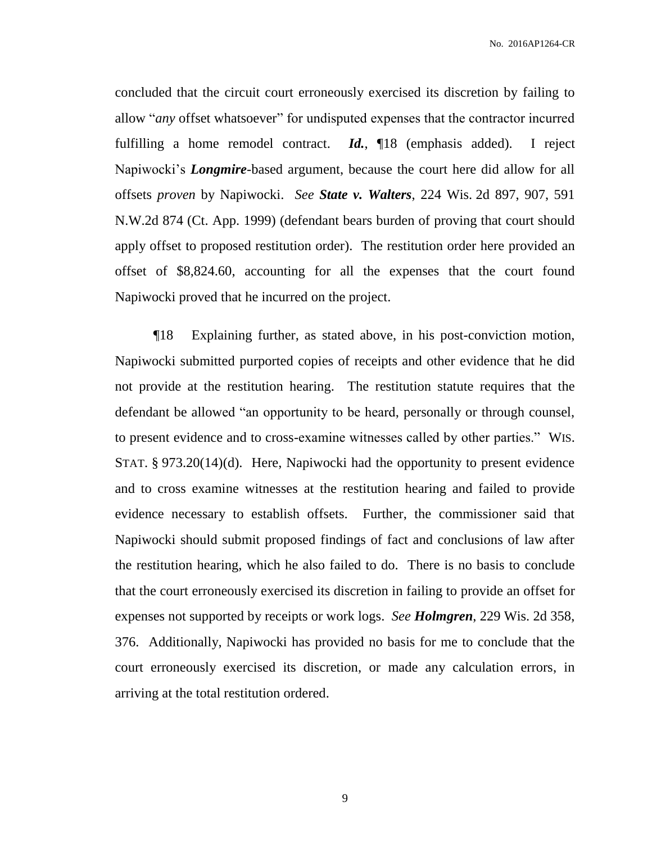concluded that the circuit court erroneously exercised its discretion by failing to allow "*any* offset whatsoever" for undisputed expenses that the contractor incurred fulfilling a home remodel contract. *Id.*, ¶18 (emphasis added). I reject Napiwocki's *Longmire*-based argument, because the court here did allow for all offsets *proven* by Napiwocki. *See State v. Walters*, 224 Wis. 2d 897, 907, 591 N.W.2d 874 (Ct. App. 1999) (defendant bears burden of proving that court should apply offset to proposed restitution order). The restitution order here provided an offset of \$8,824.60, accounting for all the expenses that the court found Napiwocki proved that he incurred on the project.

¶18 Explaining further, as stated above, in his post-conviction motion, Napiwocki submitted purported copies of receipts and other evidence that he did not provide at the restitution hearing. The restitution statute requires that the defendant be allowed "an opportunity to be heard, personally or through counsel, to present evidence and to cross-examine witnesses called by other parties." WIS. STAT. § 973.20(14)(d). Here, Napiwocki had the opportunity to present evidence and to cross examine witnesses at the restitution hearing and failed to provide evidence necessary to establish offsets. Further, the commissioner said that Napiwocki should submit proposed findings of fact and conclusions of law after the restitution hearing, which he also failed to do. There is no basis to conclude that the court erroneously exercised its discretion in failing to provide an offset for expenses not supported by receipts or work logs. *See Holmgren*, 229 Wis. 2d 358, 376. Additionally, Napiwocki has provided no basis for me to conclude that the court erroneously exercised its discretion, or made any calculation errors, in arriving at the total restitution ordered.